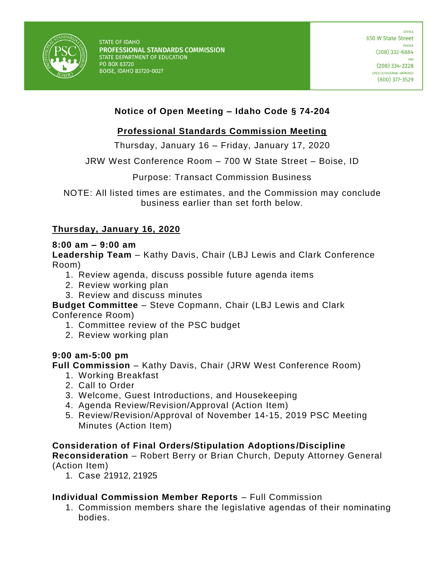

# **Notice of Open Meeting – Idaho Code § 74-204**

# **Professional Standards Commission Meeting**

Thursday, January 16 – Friday, January 17, 2020

JRW West Conference Room – 700 W State Street – Boise, ID

Purpose: Transact Commission Business

NOTE: All listed times are estimates, and the Commission may conclude business earlier than set forth below.

## **Thursday, January 16, 2020**

#### **8:00 am – 9:00 am**

**Leadership Team** – Kathy Davis, Chair (LBJ Lewis and Clark Conference Room)

- 1. Review agenda, discuss possible future agenda items
- 2. Review working plan
- 3. Review and discuss minutes

**Budget Committee** – Steve Copmann, Chair (LBJ Lewis and Clark Conference Room)

- 1. Committee review of the PSC budget
- 2. Review working plan

### **9:00 am-5:00 pm**

**Full Commission** – Kathy Davis, Chair (JRW West Conference Room)

- 1. Working Breakfast
- 2. Call to Order
- 3. Welcome, Guest Introductions, and Housekeeping
- 4. Agenda Review/Revision/Approval (Action Item)
- 5. Review/Revision/Approval of November 14-15, 2019 PSC Meeting Minutes (Action Item)

### **Consideration of Final Orders/Stipulation Adoptions/Discipline**

**Reconsideration** – Robert Berry or Brian Church, Deputy Attorney General (Action Item)

1. Case 21912, 21925

### **Individual Commission Member Reports** – Full Commission

1. Commission members share the legislative agendas of their nominating bodies.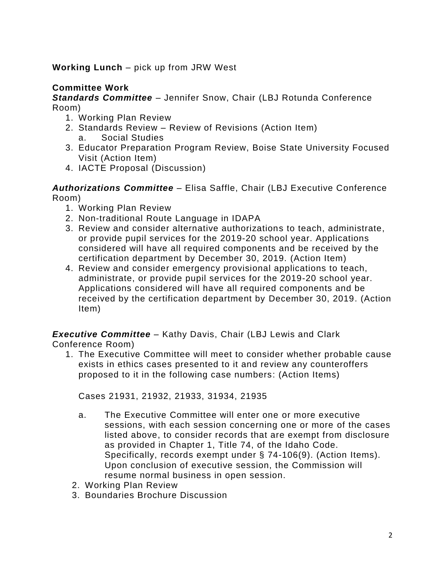# **Working Lunch** – pick up from JRW West

## **Committee Work**

*Standards Committee* – Jennifer Snow, Chair (LBJ Rotunda Conference Room)

- 1. Working Plan Review
- 2. Standards Review Review of Revisions (Action Item) a. Social Studies
- 3. Educator Preparation Program Review, Boise State University Focused Visit (Action Item)
- 4. IACTE Proposal (Discussion)

*Authorizations Committee* – Elisa Saffle, Chair (LBJ Executive Conference Room)

- 1. Working Plan Review
- 2. Non-traditional Route Language in IDAPA
- 3. Review and consider alternative authorizations to teach, administrate, or provide pupil services for the 2019-20 school year. Applications considered will have all required components and be received by the certification department by December 30, 2019. (Action Item)
- 4. Review and consider emergency provisional applications to teach, administrate, or provide pupil services for the 2019-20 school year. Applications considered will have all required components and be received by the certification department by December 30, 2019. (Action Item)

*Executive Committee* – Kathy Davis, Chair (LBJ Lewis and Clark Conference Room)

1. The Executive Committee will meet to consider whether probable cause exists in ethics cases presented to it and review any counteroffers proposed to it in the following case numbers: (Action Items)

Cases 21931, 21932, 21933, 31934, 21935

- a. The Executive Committee will enter one or more executive sessions, with each session concerning one or more of the cases listed above, to consider records that are exempt from disclosure as provided in Chapter 1, Title 74, of the Idaho Code. Specifically, records exempt under § 74-106(9). (Action Items). Upon conclusion of executive session, the Commission will resume normal business in open session.
- 2. Working Plan Review
- 3. Boundaries Brochure Discussion